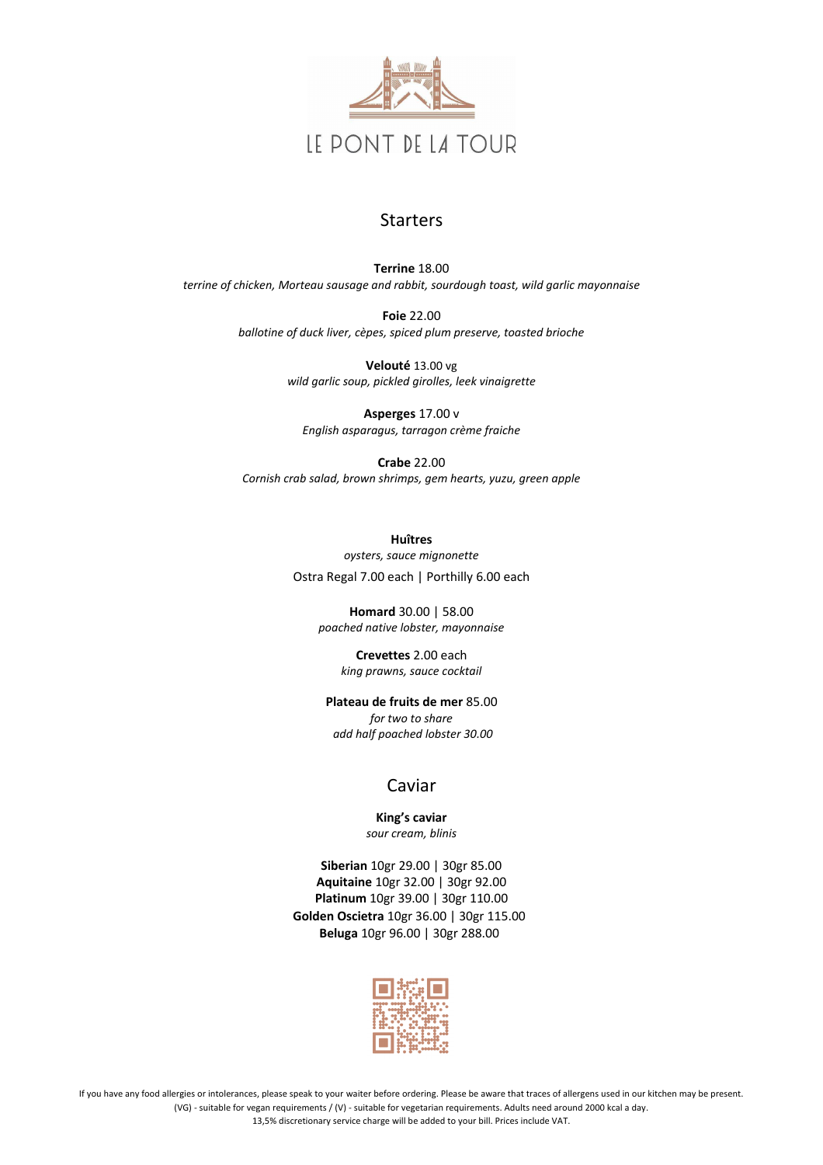

## Starters

**Terrine** 18.00 *terrine of chicken, Morteau sausage and rabbit, sourdough toast, wild garlic mayonnaise*

> **Foie** 22.00 *ballotine of duck liver, cèpes, spiced plum preserve, toasted brioche*

> > **Velouté** 13.00 vg *wild garlic soup, pickled girolles, leek vinaigrette*

**Asperges** 17.00 v *English asparagus, tarragon crème fraiche*

**Crabe** 22.00 *Cornish crab salad, brown shrimps, gem hearts, yuzu, green apple*

> **Huîtres** *oysters, sauce mignonette* Ostra Regal 7.00 each | Porthilly 6.00 each

**Homard** 30.00 | 58.00 *poached native lobster, mayonnaise*

> **Crevettes** 2.00 each *king prawns, sauce cocktail*

**Plateau de fruits de mer** 85.00 *for two to share add half poached lobster 30.00*

## Caviar

**King's caviar** *sour cream, blinis*

**Siberian** 10gr 29.00 | 30gr 85.00

**Aquitaine** 10gr 32.00 | 30gr 92.00 **Platinum** 10gr 39.00 | 30gr 110.00 **Golden Oscietra** 10gr 36.00 | 30gr 115.00 **Beluga** 10gr 96.00 | 30gr 288.00



If you have any food allergies or intolerances, please speak to your waiter before ordering. Please be aware that traces of allergens used in our kitchen may be present. (VG) - suitable for vegan requirements / (V) - suitable for vegetarian requirements. Adults need around 2000 kcal a day.

13,5% discretionary service charge will be added to your bill. Prices include VAT.